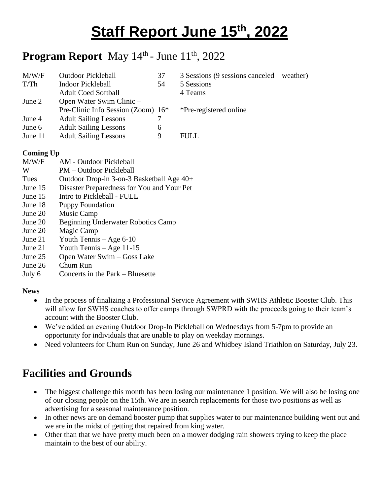# **Staff Report June 15th , 2022**

### **Program Report** May 14<sup>th</sup> - June 11<sup>th</sup>, 2022

| M/W/F   | <b>Outdoor Pickleball</b>          | 37 | 3 Sessions (9 sessions canceled – weather) |
|---------|------------------------------------|----|--------------------------------------------|
| T/Th    | <b>Indoor Pickleball</b>           | 54 | 5 Sessions                                 |
|         | <b>Adult Coed Softball</b>         |    | 4 Teams                                    |
| June 2  | Open Water Swim Clinic -           |    |                                            |
|         | Pre-Clinic Info Session (Zoom) 16* |    | *Pre-registered online                     |
| June 4  | <b>Adult Sailing Lessons</b>       |    |                                            |
| June 6  | <b>Adult Sailing Lessons</b>       | 6  |                                            |
| June 11 | <b>Adult Sailing Lessons</b>       | 9  | <b>FULL</b>                                |
|         |                                    |    |                                            |

#### **Coming Up**

- M/W/F AM Outdoor Pickleball
- W PM Outdoor Pickleball
- Tues Outdoor Drop-in 3-on-3 Basketball Age 40+
- June 15 Disaster Preparedness for You and Your Pet
- June 15 Intro to Pickleball FULL
- June 18 Puppy Foundation
- June 20 Music Camp
- June 20 Beginning Underwater Robotics Camp
- June 20 Magic Camp
- June 21 Youth Tennis Age 6-10
- June 21 Youth Tennis Age 11-15
- June 25 Open Water Swim Goss Lake
- June 26 Chum Run
- July 6 Concerts in the Park Bluesette

#### **News**

- In the process of finalizing a Professional Service Agreement with SWHS Athletic Booster Club. This will allow for SWHS coaches to offer camps through SWPRD with the proceeds going to their team's account with the Booster Club.
- We've added an evening Outdoor Drop-In Pickleball on Wednesdays from 5-7pm to provide an opportunity for individuals that are unable to play on weekday mornings.
- Need volunteers for Chum Run on Sunday, June 26 and Whidbey Island Triathlon on Saturday, July 23.

### **Facilities and Grounds**

- The biggest challenge this month has been losing our maintenance 1 position. We will also be losing one of our closing people on the 15th. We are in search replacements for those two positions as well as advertising for a seasonal maintenance position.
- In other news are on demand booster pump that supplies water to our maintenance building went out and we are in the midst of getting that repaired from king water.
- Other than that we have pretty much been on a mower dodging rain showers trying to keep the place maintain to the best of our ability.